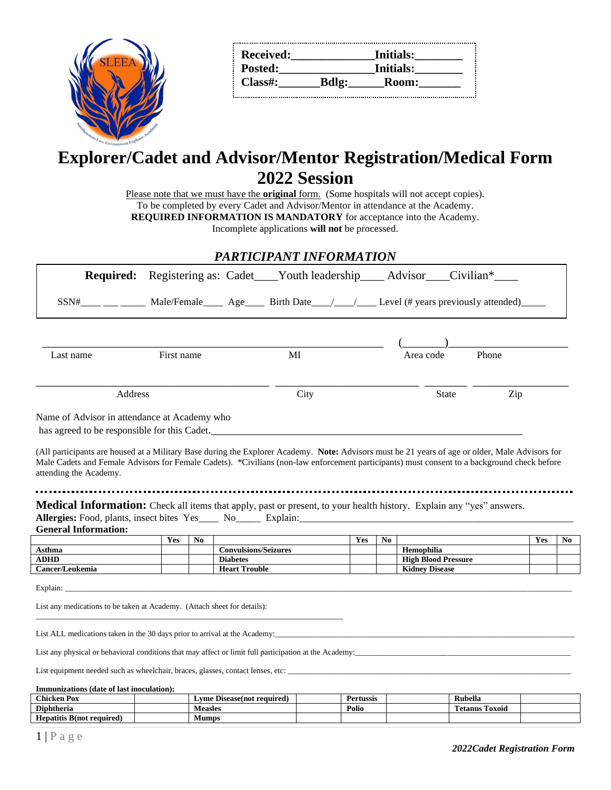

| <b>Received:</b> |              | Initials:        |  |
|------------------|--------------|------------------|--|
| Posted:          |              | <b>Initials:</b> |  |
| $Class#$ :       | <b>Bdlg:</b> | <b>Room:</b>     |  |
|                  |              |                  |  |

# **Explorer/Cadet and Advisor/Mentor Registration/Medical Form 2022 Session**

Please note that we must have the **original** form. (Some hospitals will not accept copies). To be completed by every Cadet and Advisor/Mentor in attendance at the Academy.

**REQUIRED INFORMATION IS MANDATORY** for acceptance into the Academy.

Incomplete applications **will not** be processed.

### *PARTICIPANT INFORMATION*

|                                                                                                                                                                                                                                                                                                                                                                                                                                                                                                                  |                                                                         |                |                                         | <b>Required:</b> Registering as: Cadet Youth leadership Advisor Civilian <sup>*</sup> |     |                |                                                     |              |       |            |    |
|------------------------------------------------------------------------------------------------------------------------------------------------------------------------------------------------------------------------------------------------------------------------------------------------------------------------------------------------------------------------------------------------------------------------------------------------------------------------------------------------------------------|-------------------------------------------------------------------------|----------------|-----------------------------------------|---------------------------------------------------------------------------------------|-----|----------------|-----------------------------------------------------|--------------|-------|------------|----|
|                                                                                                                                                                                                                                                                                                                                                                                                                                                                                                                  | $SSN#$ Male/Female Age Birth Date / Level (# years previously attended) |                |                                         |                                                                                       |     |                |                                                     |              |       |            |    |
|                                                                                                                                                                                                                                                                                                                                                                                                                                                                                                                  |                                                                         |                |                                         |                                                                                       |     |                |                                                     |              |       |            |    |
| Last name                                                                                                                                                                                                                                                                                                                                                                                                                                                                                                        | First name                                                              |                |                                         | MI                                                                                    |     |                | Area code                                           |              | Phone |            |    |
| Address                                                                                                                                                                                                                                                                                                                                                                                                                                                                                                          |                                                                         |                |                                         | City                                                                                  |     |                |                                                     | <b>State</b> | Zip   |            |    |
| Name of Advisor in attendance at Academy who<br>has agreed to be responsible for this Cadet.                                                                                                                                                                                                                                                                                                                                                                                                                     |                                                                         |                |                                         |                                                                                       |     |                |                                                     |              |       |            |    |
| (All participants are housed at a Military Base during the Explorer Academy. Note: Advisors must be 21 years of age or older, Male Advisors for<br>Male Cadets and Female Advisors for Female Cadets). *Civilians (non-law enforcement participants) must consent to a background check before<br>attending the Academy.<br><b>Medical Information:</b> Check all items that apply, past or present, to your health history. Explain any "yes" answers.<br>Allergies: Food, plants, insect bites Yes No Explain: |                                                                         |                |                                         |                                                                                       |     |                |                                                     |              |       |            |    |
| <b>General Information:</b>                                                                                                                                                                                                                                                                                                                                                                                                                                                                                      |                                                                         |                |                                         |                                                                                       |     |                |                                                     |              |       |            |    |
|                                                                                                                                                                                                                                                                                                                                                                                                                                                                                                                  | Yes                                                                     | N <sub>0</sub> |                                         |                                                                                       | Yes | N <sub>0</sub> |                                                     |              |       | <b>Yes</b> | No |
| Asthma                                                                                                                                                                                                                                                                                                                                                                                                                                                                                                           |                                                                         |                | <b>Convulsions/Seizures</b>             |                                                                                       |     |                | Hemophilia                                          |              |       |            |    |
| <b>ADHD</b><br>Cancer/Leukemia                                                                                                                                                                                                                                                                                                                                                                                                                                                                                   |                                                                         |                | <b>Diabetes</b><br><b>Heart Trouble</b> |                                                                                       |     |                | <b>High Blood Pressure</b><br><b>Kidney Disease</b> |              |       |            |    |
| List any medications to be taken at Academy. (Attach sheet for details):                                                                                                                                                                                                                                                                                                                                                                                                                                         |                                                                         |                |                                         |                                                                                       |     |                |                                                     |              |       |            |    |
| List ALL medications taken in the 30 days prior to arrival at the Academy:                                                                                                                                                                                                                                                                                                                                                                                                                                       |                                                                         |                |                                         |                                                                                       |     |                |                                                     |              |       |            |    |
| List any physical or behavioral conditions that may affect or limit full participation at the Academy:                                                                                                                                                                                                                                                                                                                                                                                                           |                                                                         |                |                                         |                                                                                       |     |                |                                                     |              |       |            |    |
| List equipment needed such as wheelchair, braces, glasses, contact lenses, etc:                                                                                                                                                                                                                                                                                                                                                                                                                                  |                                                                         |                |                                         |                                                                                       |     |                |                                                     |              |       |            |    |
| Immunizations (date of last inoculation):                                                                                                                                                                                                                                                                                                                                                                                                                                                                        |                                                                         |                |                                         |                                                                                       |     |                |                                                     |              |       |            |    |

| $\sim$ $\sim$ $\sim$<br>∴hicken Pox          | : Disease(not required)<br>⊥vme ′ | <b>Pertussis</b> | Rubella                   |  |
|----------------------------------------------|-----------------------------------|------------------|---------------------------|--|
| <b>Diphtheria</b>                            | Measles                           | Polio            | nm.<br>Toxoid<br>. etanus |  |
| <b>TT</b><br>T.<br>Hepatitis B(not required) | <b>Mumps</b>                      |                  |                           |  |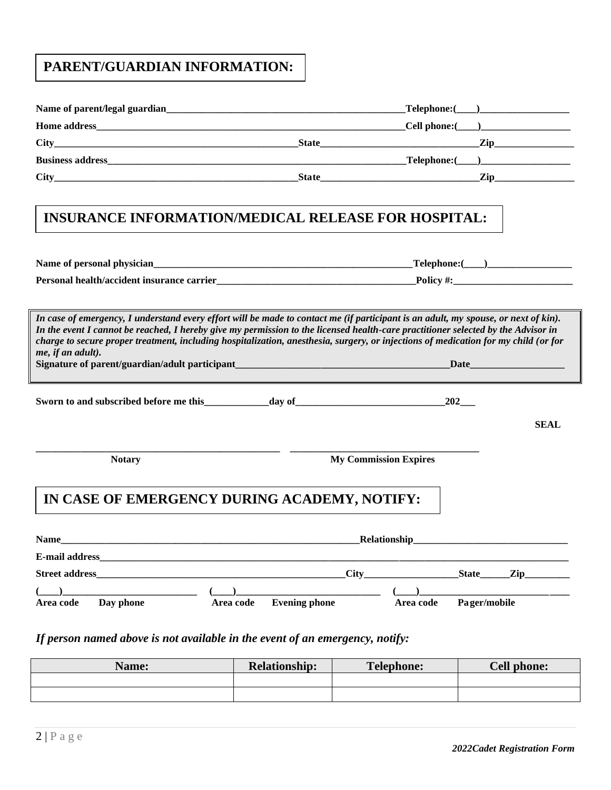## **PARENT/GUARDIAN INFORMATION:**

|                                                                                                                                                                                                                                                                                                                                                                                                                                      | $\textcolor{red}{\mathbf{-} \text{Telephone:}(\_\_\_\_\_\_\_\_\_\_\_\_\_\_$ |
|--------------------------------------------------------------------------------------------------------------------------------------------------------------------------------------------------------------------------------------------------------------------------------------------------------------------------------------------------------------------------------------------------------------------------------------|-----------------------------------------------------------------------------|
|                                                                                                                                                                                                                                                                                                                                                                                                                                      |                                                                             |
|                                                                                                                                                                                                                                                                                                                                                                                                                                      |                                                                             |
|                                                                                                                                                                                                                                                                                                                                                                                                                                      |                                                                             |
| $City$ $Zip$ $Iip$ $Iip$                                                                                                                                                                                                                                                                                                                                                                                                             |                                                                             |
| <b>INSURANCE INFORMATION/MEDICAL RELEASE FOR HOSPITAL:</b>                                                                                                                                                                                                                                                                                                                                                                           |                                                                             |
|                                                                                                                                                                                                                                                                                                                                                                                                                                      |                                                                             |
|                                                                                                                                                                                                                                                                                                                                                                                                                                      |                                                                             |
| In case of emergency, I understand every effort will be made to contact me (if participant is an adult, my spouse, or next of kin).<br>In the event I cannot be reached, I hereby give my permission to the licensed health-care practitioner selected by the Advisor in<br>charge to secure proper treatment, including hospitalization, anesthesia, surgery, or injections of medication for my child (or for<br>me, if an adult). | Date                                                                        |
|                                                                                                                                                                                                                                                                                                                                                                                                                                      |                                                                             |
|                                                                                                                                                                                                                                                                                                                                                                                                                                      | <b>SEAL</b>                                                                 |
| <b>My Commission Expires</b><br><b>Notary</b>                                                                                                                                                                                                                                                                                                                                                                                        |                                                                             |
| IN CASE OF EMERGENCY DURING ACADEMY, NOTIFY:                                                                                                                                                                                                                                                                                                                                                                                         |                                                                             |
| Name<br><b>Relationship</b>                                                                                                                                                                                                                                                                                                                                                                                                          |                                                                             |
|                                                                                                                                                                                                                                                                                                                                                                                                                                      |                                                                             |
| <b>Street address</b><br>City                                                                                                                                                                                                                                                                                                                                                                                                        | $\chi$ ip                                                                   |
| $\rightarrow$<br><b>Evening phone</b><br>Area code<br>Day phone<br>Area code                                                                                                                                                                                                                                                                                                                                                         | Pager/mobile<br>Area code                                                   |

### *If person named above is not available in the event of an emergency, notify:*

| <b>Name:</b> | <b>Relationship:</b> | <b>Telephone:</b> | Cell phone: |
|--------------|----------------------|-------------------|-------------|
|              |                      |                   |             |
|              |                      |                   |             |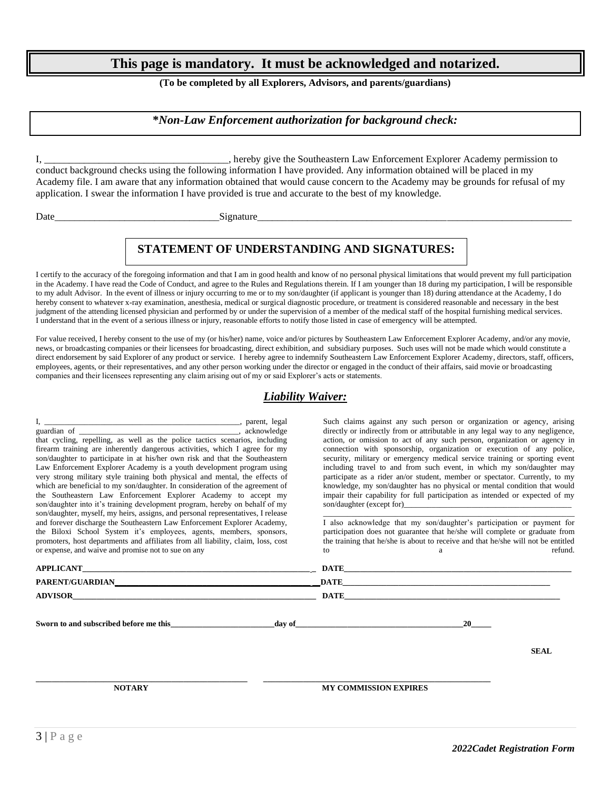### **This page is mandatory. It must be acknowledged and notarized.**

#### **(To be completed by all Explorers, Advisors, and parents/guardians)**

#### **\****Non-Law Enforcement authorization for background check:*

I, \_\_\_\_\_\_\_\_\_\_\_\_\_\_\_\_\_\_\_\_\_\_\_\_\_\_\_\_\_\_\_\_\_\_\_\_\_, hereby give the Southeastern Law Enforcement Explorer Academy permission to conduct background checks using the following information I have provided. Any information obtained will be placed in my Academy file. I am aware that any information obtained that would cause concern to the Academy may be grounds for refusal of my application. I swear the information I have provided is true and accurate to the best of my knowledge.

Date and the set of the set of the set of the set of the set of the set of the set of the set of the set of the set of the set of the set of the set of the set of the set of the set of the set of the set of the set of the

### **STATEMENT OF UNDERSTANDING AND SIGNATURES:**

I certify to the accuracy of the foregoing information and that I am in good health and know of no personal physical limitations that would prevent my full participation in the Academy. I have read the Code of Conduct, and agree to the Rules and Regulations therein. If I am younger than 18 during my participation, I will be responsible to my adult Advisor. In the event of illness or injury occurring to me or to my son/daughter (if applicant is younger than 18) during attendance at the Academy, I do hereby consent to whatever x-ray examination, anesthesia, medical or surgical diagnostic procedure, or treatment is considered reasonable and necessary in the best judgment of the attending licensed physician and performed by or under the supervision of a member of the medical staff of the hospital furnishing medical services. I understand that in the event of a serious illness or injury, reasonable efforts to notify those listed in case of emergency will be attempted.

For value received, I hereby consent to the use of my (or his/her) name, voice and/or pictures by Southeastern Law Enforcement Explorer Academy, and/or any movie, news, or broadcasting companies or their licensees for broadcasting, direct exhibition, and subsidiary purposes. Such uses will not be made which would constitute a direct endorsement by said Explorer of any product or service. I hereby agree to indemnify Southeastern Law Enforcement Explorer Academy, directors, staff, officers, employees, agents, or their representatives, and any other person working under the director or engaged in the conduct of their affairs, said movie or broadcasting companies and their licensees representing any claim arising out of my or said Explorer's acts or statements.

#### *Liability Waiver:*

I, \_\_\_\_\_\_\_\_\_\_\_\_\_\_\_\_\_\_\_\_\_\_\_\_\_\_\_\_\_\_\_\_\_\_\_\_\_\_\_\_\_\_\_\_\_\_\_\_\_, parent, legal guardian of \_\_\_\_\_\_\_\_\_\_\_\_\_\_\_\_\_\_\_\_\_\_\_\_\_\_\_\_\_\_\_\_\_\_\_\_\_\_\_\_, acknowledge that cycling, repelling, as well as the police tactics scenarios, including firearm training are inherently dangerous activities, which I agree for my son/daughter to participate in at his/her own risk and that the Southeastern Law Enforcement Explorer Academy is a youth development program using very strong military style training both physical and mental, the effects of which are beneficial to my son/daughter. In consideration of the agreement of the Southeastern Law Enforcement Explorer Academy to accept my son/daughter into it's training development program, hereby on behalf of my son/daughter, myself, my heirs, assigns, and personal representatives, I release and forever discharge the Southeastern Law Enforcement Explorer Academy, the Biloxi School System it's employees, agents, members, sponsors, promoters, host departments and affiliates from all liability, claim, loss, cost or expense, and waive and promise not to sue on any

Such claims against any such person or organization or agency, arising directly or indirectly from or attributable in any legal way to any negligence, action, or omission to act of any such person, organization or agency in connection with sponsorship, organization or execution of any police, security, military or emergency medical service training or sporting event including travel to and from such event, in which my son/daughter may participate as a rider an/or student, member or spectator. Currently, to my knowledge, my son/daughter has no physical or mental condition that would impair their capability for full participation as intended or expected of my son/daughter (except for)\_

\_\_\_\_\_\_\_\_\_\_\_\_\_\_\_\_\_\_\_\_\_\_\_\_\_\_\_\_\_\_\_\_\_\_\_\_\_\_\_\_\_\_\_\_\_\_\_\_\_\_\_\_\_\_\_\_\_\_\_\_\_\_\_ I also acknowledge that my son/daughter's participation or payment for participation does not guarantee that he/she will complete or graduate from the training that he/she is about to receive and that he/she will not be entitled to a refund.

| <b>PARENT/GUARDIAN DATE</b>            |                              |                                                                                                                                                                                                                               |             |
|----------------------------------------|------------------------------|-------------------------------------------------------------------------------------------------------------------------------------------------------------------------------------------------------------------------------|-------------|
|                                        |                              | DATE THE CONSTRUCTION OF THE CONSTRUCTION OF THE CONSTRUCTION OF THE CONSTRUCTION OF THE CONSTRUCTION OF THE CONSTRUCTION OF THE CONSTRUCTION OF THE CONSTRUCTION OF THE CONSTRUCTION OF THE CONSTRUCTION OF THE CONSTRUCTION |             |
| Sworn to and subscribed before me this | day of                       | <b>20</b>                                                                                                                                                                                                                     | <b>SEAL</b> |
| <b>NOTARY</b>                          | <b>MY COMMISSION EXPIRES</b> |                                                                                                                                                                                                                               |             |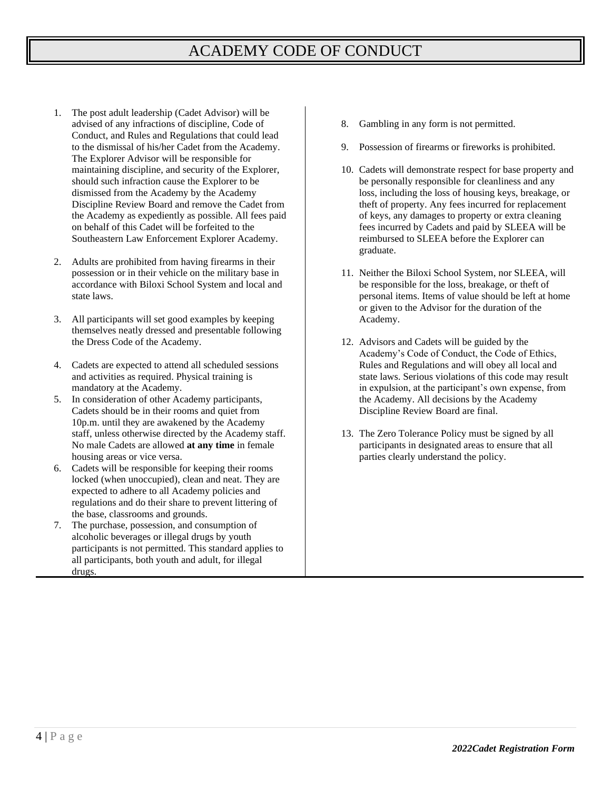# ACADEMY CODE OF CONDUCT

- 1. The post adult leadership (Cadet Advisor) will be advised of any infractions of discipline, Code of Conduct, and Rules and Regulations that could lead to the dismissal of his/her Cadet from the Academy. The Explorer Advisor will be responsible for maintaining discipline, and security of the Explorer, should such infraction cause the Explorer to be dismissed from the Academy by the Academy Discipline Review Board and remove the Cadet from the Academy as expediently as possible. All fees paid on behalf of this Cadet will be forfeited to the Southeastern Law Enforcement Explorer Academy.
- 2. Adults are prohibited from having firearms in their possession or in their vehicle on the military base in accordance with Biloxi School System and local and state laws.
- 3. All participants will set good examples by keeping themselves neatly dressed and presentable following the Dress Code of the Academy.
- 4. Cadets are expected to attend all scheduled sessions and activities as required. Physical training is mandatory at the Academy.
- 5. In consideration of other Academy participants, Cadets should be in their rooms and quiet from 10p.m. until they are awakened by the Academy staff, unless otherwise directed by the Academy staff. No male Cadets are allowed **at any time** in female housing areas or vice versa.
- 6. Cadets will be responsible for keeping their rooms locked (when unoccupied), clean and neat. They are expected to adhere to all Academy policies and regulations and do their share to prevent littering of the base, classrooms and grounds.
- 7. The purchase, possession, and consumption of alcoholic beverages or illegal drugs by youth participants is not permitted. This standard applies to all participants, both youth and adult, for illegal drugs.
- 8. Gambling in any form is not permitted.
- 9. Possession of firearms or fireworks is prohibited.
- 10. Cadets will demonstrate respect for base property and be personally responsible for cleanliness and any loss, including the loss of housing keys, breakage, or theft of property. Any fees incurred for replacement of keys, any damages to property or extra cleaning fees incurred by Cadets and paid by SLEEA will be reimbursed to SLEEA before the Explorer can graduate.
- 11. Neither the Biloxi School System, nor SLEEA, will be responsible for the loss, breakage, or theft of personal items. Items of value should be left at home or given to the Advisor for the duration of the Academy.
- 12. Advisors and Cadets will be guided by the Academy's Code of Conduct, the Code of Ethics, Rules and Regulations and will obey all local and state laws. Serious violations of this code may result in expulsion, at the participant's own expense, from the Academy. All decisions by the Academy Discipline Review Board are final.
- 13. The Zero Tolerance Policy must be signed by all participants in designated areas to ensure that all parties clearly understand the policy.